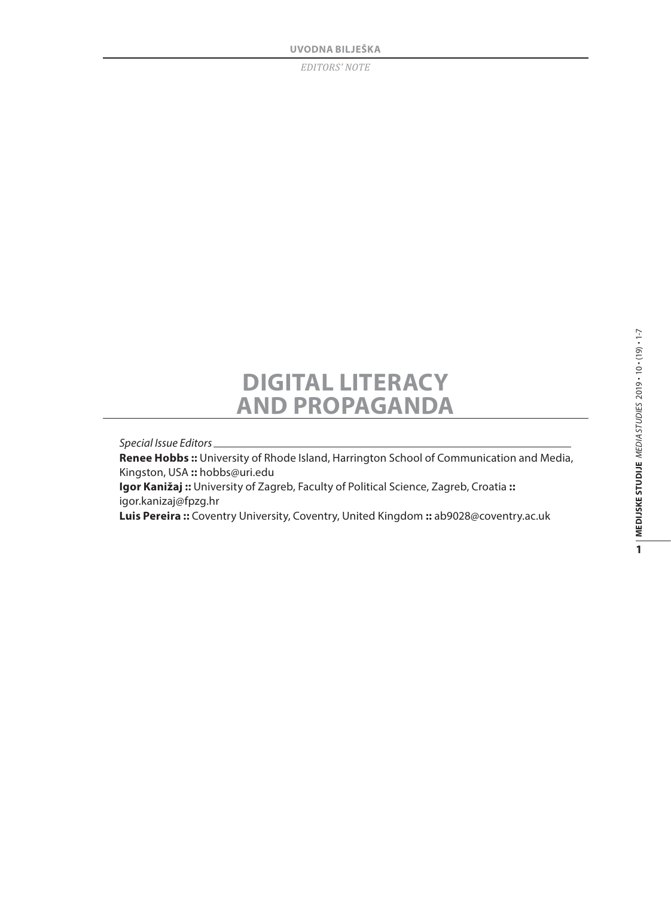## **Digital Literacy and Propaganda**

*Special Issue Editors*

**Renee Hobbs ::** University of Rhode Island, Harrington School of Communication and Media, Kingston, USA **::** hobbs@uri.edu

**Igor Kanižaj ::** University of Zagreb, Faculty of Political Science, Zagreb, Croatia **::** igor.kanizaj@fpzg.hr

**Luis Pereira ::** Coventry University, Coventry, United Kingdom **::** ab9028@coventry.ac.uk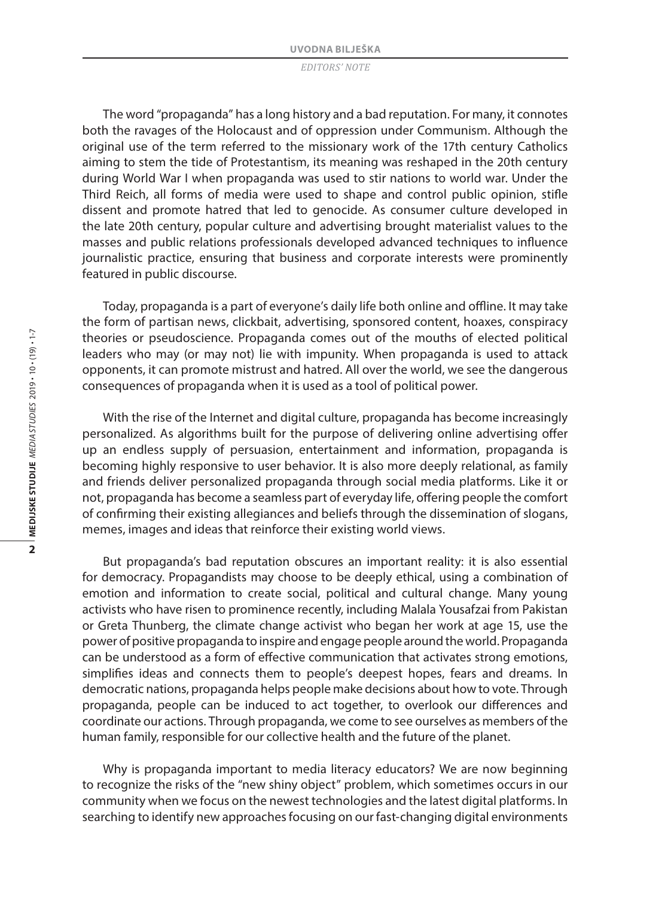The word "propaganda" has a long history and a bad reputation. For many, it connotes both the ravages of the Holocaust and of oppression under Communism. Although the original use of the term referred to the missionary work of the 17th century Catholics aiming to stem the tide of Protestantism, its meaning was reshaped in the 20th century during World War I when propaganda was used to stir nations to world war. Under the Third Reich, all forms of media were used to shape and control public opinion, stifle dissent and promote hatred that led to genocide. As consumer culture developed in the late 20th century, popular culture and advertising brought materialist values to the masses and public relations professionals developed advanced techniques to influence journalistic practice, ensuring that business and corporate interests were prominently featured in public discourse.

Today, propaganda is a part of everyone's daily life both online and offline. It may take the form of partisan news, clickbait, advertising, sponsored content, hoaxes, conspiracy theories or pseudoscience. Propaganda comes out of the mouths of elected political leaders who may (or may not) lie with impunity. When propaganda is used to attack opponents, it can promote mistrust and hatred. All over the world, we see the dangerous consequences of propaganda when it is used as a tool of political power.

With the rise of the Internet and digital culture, propaganda has become increasingly personalized. As algorithms built for the purpose of delivering online advertising offer up an endless supply of persuasion, entertainment and information, propaganda is becoming highly responsive to user behavior. It is also more deeply relational, as family and friends deliver personalized propaganda through social media platforms. Like it or not, propaganda has become a seamless part of everyday life, offering people the comfort of confirming their existing allegiances and beliefs through the dissemination of slogans, memes, images and ideas that reinforce their existing world views.

But propaganda's bad reputation obscures an important reality: it is also essential for democracy. Propagandists may choose to be deeply ethical, using a combination of emotion and information to create social, political and cultural change. Many young activists who have risen to prominence recently, including Malala Yousafzai from Pakistan or Greta Thunberg, the climate change activist who began her work at age 15, use the power of positive propaganda to inspire and engage people around the world. Propaganda can be understood as a form of effective communication that activates strong emotions, simplifies ideas and connects them to people's deepest hopes, fears and dreams. In democratic nations, propaganda helps people make decisions about how to vote. Through propaganda, people can be induced to act together, to overlook our differences and coordinate our actions. Through propaganda, we come to see ourselves as members of the human family, responsible for our collective health and the future of the planet.

Why is propaganda important to media literacy educators? We are now beginning to recognize the risks of the "new shiny object" problem, which sometimes occurs in our community when we focus on the newest technologies and the latest digital platforms. In searching to identify new approaches focusing on our fast-changing digital environments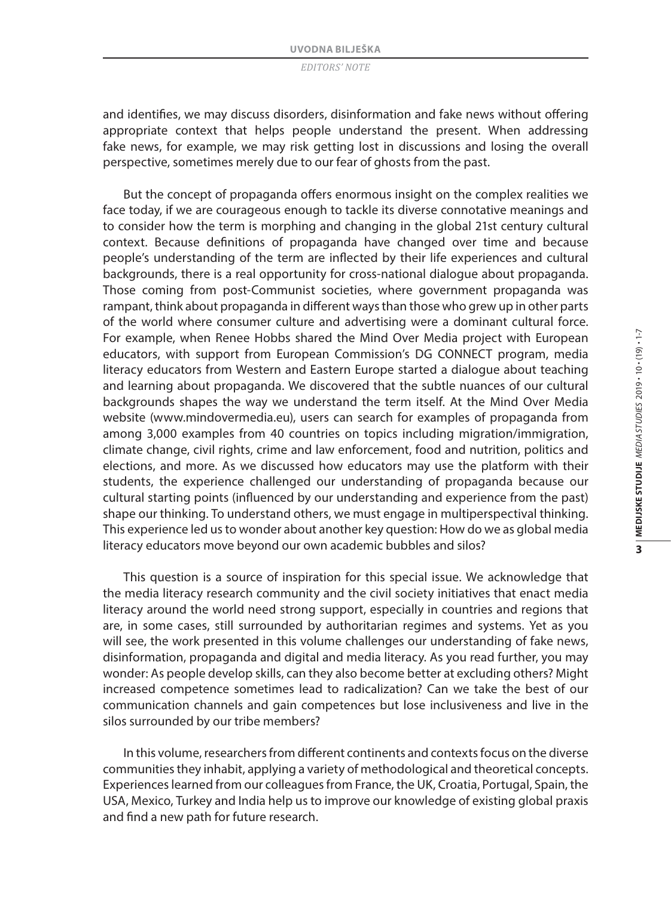and identifies, we may discuss disorders, disinformation and fake news without offering appropriate context that helps people understand the present. When addressing fake news, for example, we may risk getting lost in discussions and losing the overall perspective, sometimes merely due to our fear of ghosts from the past.

But the concept of propaganda offers enormous insight on the complex realities we face today, if we are courageous enough to tackle its diverse connotative meanings and to consider how the term is morphing and changing in the global 21st century cultural context. Because definitions of propaganda have changed over time and because people's understanding of the term are inflected by their life experiences and cultural backgrounds, there is a real opportunity for cross-national dialogue about propaganda. Those coming from post-Communist societies, where government propaganda was rampant, think about propaganda in different ways than those who grew up in other parts of the world where consumer culture and advertising were a dominant cultural force. For example, when Renee Hobbs shared the Mind Over Media project with European educators, with support from European Commission's DG CONNECT program, media literacy educators from Western and Eastern Europe started a dialogue about teaching and learning about propaganda. We discovered that the subtle nuances of our cultural backgrounds shapes the way we understand the term itself. At the Mind Over Media website (www.mindovermedia.eu), users can search for examples of propaganda from among 3,000 examples from 40 countries on topics including migration/immigration, climate change, civil rights, crime and law enforcement, food and nutrition, politics and elections, and more. As we discussed how educators may use the platform with their students, the experience challenged our understanding of propaganda because our cultural starting points (influenced by our understanding and experience from the past) shape our thinking. To understand others, we must engage in multiperspectival thinking. This experience led us to wonder about another key question: How do we as global media literacy educators move beyond our own academic bubbles and silos?

This question is a source of inspiration for this special issue. We acknowledge that the media literacy research community and the civil society initiatives that enact media literacy around the world need strong support, especially in countries and regions that are, in some cases, still surrounded by authoritarian regimes and systems. Yet as you will see, the work presented in this volume challenges our understanding of fake news, disinformation, propaganda and digital and media literacy. As you read further, you may wonder: As people develop skills, can they also become better at excluding others? Might increased competence sometimes lead to radicalization? Can we take the best of our communication channels and gain competences but lose inclusiveness and live in the silos surrounded by our tribe members?

In this volume, researchers from different continents and contexts focus on the diverse communities they inhabit, applying a variety of methodological and theoretical concepts. Experiences learned from our colleagues from France, the UK, Croatia, Portugal, Spain, the USA, Mexico, Turkey and India help us to improve our knowledge of existing global praxis and find a new path for future research.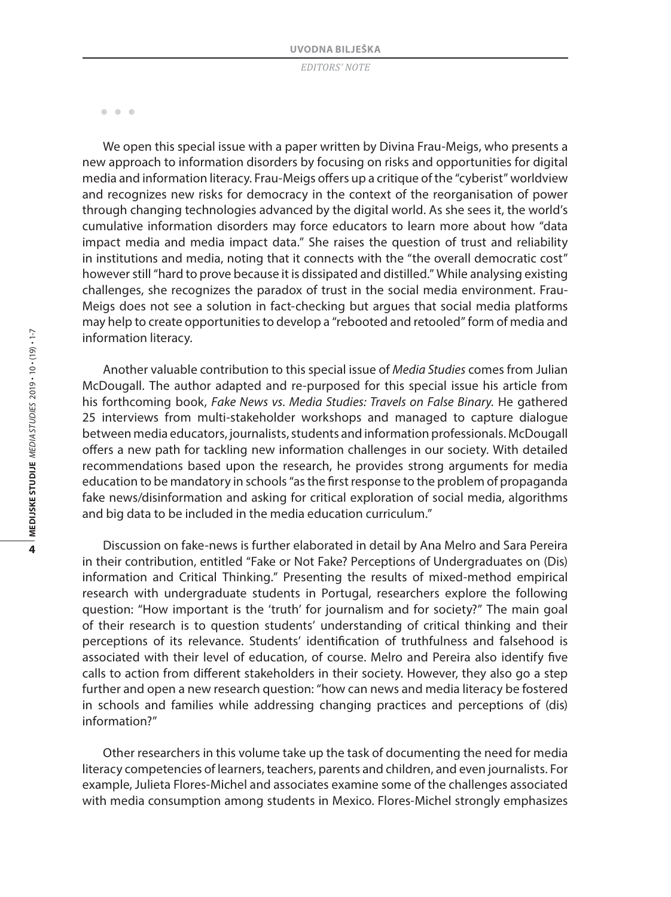$-0.00$ 

We open this special issue with a paper written by Divina Frau-Meigs, who presents a new approach to information disorders by focusing on risks and opportunities for digital media and information literacy. Frau-Meigs offers up a critique of the "cyberist" worldview and recognizes new risks for democracy in the context of the reorganisation of power through changing technologies advanced by the digital world. As she sees it, the world's cumulative information disorders may force educators to learn more about how "data impact media and media impact data." She raises the question of trust and reliability in institutions and media, noting that it connects with the "the overall democratic cost" however still "hard to prove because it is dissipated and distilled." While analysing existing challenges, she recognizes the paradox of trust in the social media environment. Frau-Meigs does not see a solution in fact-checking but argues that social media platforms may help to create opportunities to develop a "rebooted and retooled" form of media and information literacy.

Another valuable contribution to this special issue of *Media Studies* comes from Julian McDougall. The author adapted and re-purposed for this special issue his article from his forthcoming book, *Fake News vs. Media Studies: Travels on False Binary*. He gathered 25 interviews from multi-stakeholder workshops and managed to capture dialogue between media educators, journalists, students and information professionals. McDougall offers a new path for tackling new information challenges in our society. With detailed recommendations based upon the research, he provides strong arguments for media education to be mandatory in schools "as the first response to the problem of propaganda fake news/disinformation and asking for critical exploration of social media, algorithms and big data to be included in the media education curriculum."

Discussion on fake-news is further elaborated in detail by Ana Melro and Sara Pereira in their contribution, entitled "Fake or Not Fake? Perceptions of Undergraduates on (Dis) information and Critical Thinking." Presenting the results of mixed-method empirical research with undergraduate students in Portugal, researchers explore the following question: "How important is the 'truth' for journalism and for society?" The main goal of their research is to question students' understanding of critical thinking and their perceptions of its relevance. Students' identification of truthfulness and falsehood is associated with their level of education, of course. Melro and Pereira also identify five calls to action from different stakeholders in their society. However, they also go a step further and open a new research question: "how can news and media literacy be fostered in schools and families while addressing changing practices and perceptions of (dis) information?"

Other researchers in this volume take up the task of documenting the need for media literacy competencies of learners, teachers, parents and children, and even journalists. For example, Julieta Flores-Michel and associates examine some of the challenges associated with media consumption among students in Mexico. Flores-Michel strongly emphasizes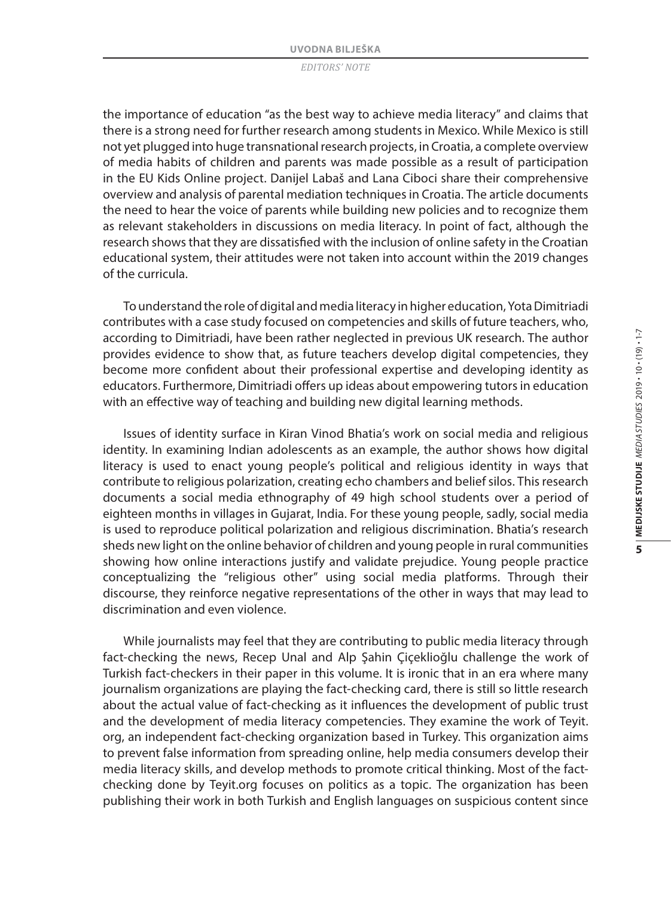the importance of education "as the best way to achieve media literacy" and claims that there is a strong need for further research among students in Mexico. While Mexico is still not yet plugged into huge transnational research projects, in Croatia, a complete overview of media habits of children and parents was made possible as a result of participation in the EU Kids Online project. Danijel Labaš and Lana Ciboci share their comprehensive overview and analysis of parental mediation techniques in Croatia. The article documents the need to hear the voice of parents while building new policies and to recognize them as relevant stakeholders in discussions on media literacy. In point of fact, although the research shows that they are dissatisfied with the inclusion of online safety in the Croatian educational system, their attitudes were not taken into account within the 2019 changes of the curricula.

To understand the role of digital and media literacy in higher education, Yota Dimitriadi contributes with a case study focused on competencies and skills of future teachers, who, according to Dimitriadi, have been rather neglected in previous UK research. The author provides evidence to show that, as future teachers develop digital competencies, they become more confident about their professional expertise and developing identity as educators. Furthermore, Dimitriadi offers up ideas about empowering tutors in education with an effective way of teaching and building new digital learning methods.

Issues of identity surface in Kiran Vinod Bhatia's work on social media and religious identity. In examining Indian adolescents as an example, the author shows how digital literacy is used to enact young people's political and religious identity in ways that contribute to religious polarization, creating echo chambers and belief silos. This research documents a social media ethnography of 49 high school students over a period of eighteen months in villages in Gujarat, India. For these young people, sadly, social media is used to reproduce political polarization and religious discrimination. Bhatia's research sheds new light on the online behavior of children and young people in rural communities showing how online interactions justify and validate prejudice. Young people practice conceptualizing the "religious other" using social media platforms. Through their discourse, they reinforce negative representations of the other in ways that may lead to discrimination and even violence.

While journalists may feel that they are contributing to public media literacy through fact-checking the news, Recep Unal and Alp Şahin Çiçeklioğlu challenge the work of Turkish fact-checkers in their paper in this volume. It is ironic that in an era where many journalism organizations are playing the fact-checking card, there is still so little research about the actual value of fact-checking as it influences the development of public trust and the development of media literacy competencies. They examine the work of Teyit. org, an independent fact-checking organization based in Turkey. This organization aims to prevent false information from spreading online, help media consumers develop their media literacy skills, and develop methods to promote critical thinking. Most of the factchecking done by Teyit.org focuses on politics as a topic. The organization has been publishing their work in both Turkish and English languages on suspicious content since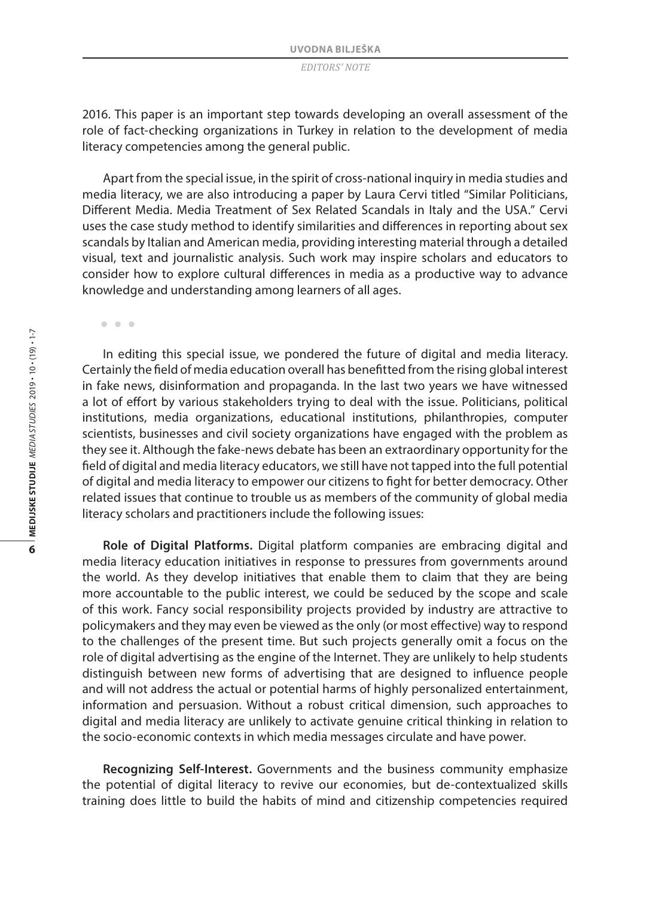2016. This paper is an important step towards developing an overall assessment of the role of fact-checking organizations in Turkey in relation to the development of media literacy competencies among the general public.

Apart from the special issue, in the spirit of cross-national inquiry in media studies and media literacy, we are also introducing a paper by Laura Cervi titled "Similar Politicians, Different Media. Media Treatment of Sex Related Scandals in Italy and the USA." Cervi uses the case study method to identify similarities and differences in reporting about sex scandals by Italian and American media, providing interesting material through a detailed visual, text and journalistic analysis. Such work may inspire scholars and educators to consider how to explore cultural differences in media as a productive way to advance knowledge and understanding among learners of all ages.

 $-0.00$ 

In editing this special issue, we pondered the future of digital and media literacy. Certainly the field of media education overall has benefitted from the rising global interest in fake news, disinformation and propaganda. In the last two years we have witnessed a lot of effort by various stakeholders trying to deal with the issue. Politicians, political institutions, media organizations, educational institutions, philanthropies, computer scientists, businesses and civil society organizations have engaged with the problem as they see it. Although the fake-news debate has been an extraordinary opportunity for the field of digital and media literacy educators, we still have not tapped into the full potential of digital and media literacy to empower our citizens to fight for better democracy. Other related issues that continue to trouble us as members of the community of global media literacy scholars and practitioners include the following issues:

**Role of Digital Platforms.** Digital platform companies are embracing digital and media literacy education initiatives in response to pressures from governments around the world. As they develop initiatives that enable them to claim that they are being more accountable to the public interest, we could be seduced by the scope and scale of this work. Fancy social responsibility projects provided by industry are attractive to policymakers and they may even be viewed as the only (or most effective) way to respond to the challenges of the present time. But such projects generally omit a focus on the role of digital advertising as the engine of the Internet. They are unlikely to help students distinguish between new forms of advertising that are designed to influence people and will not address the actual or potential harms of highly personalized entertainment, information and persuasion. Without a robust critical dimension, such approaches to digital and media literacy are unlikely to activate genuine critical thinking in relation to the socio-economic contexts in which media messages circulate and have power.

**Recognizing Self-Interest.** Governments and the business community emphasize the potential of digital literacy to revive our economies, but de-contextualized skills training does little to build the habits of mind and citizenship competencies required